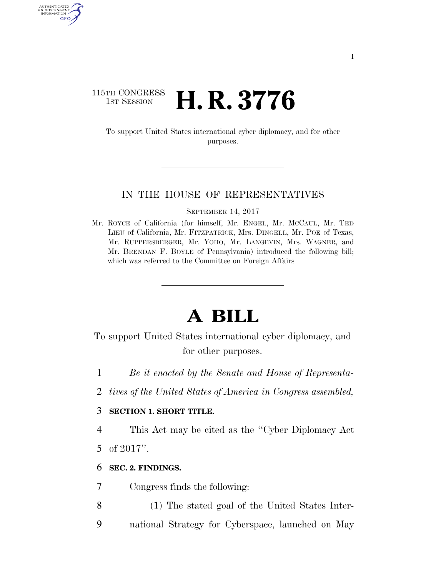### 115TH CONGRESS **1ST SESSION <b>H. R. 3776**

To support United States international cyber diplomacy, and for other purposes.

#### IN THE HOUSE OF REPRESENTATIVES

SEPTEMBER 14, 2017

Mr. ROYCE of California (for himself, Mr. ENGEL, Mr. MCCAUL, Mr. TED LIEU of California, Mr. FITZPATRICK, Mrs. DINGELL, Mr. POE of Texas, Mr. RUPPERSBERGER, Mr. YOHO, Mr. LANGEVIN, Mrs. WAGNER, and Mr. BRENDAN F. BOYLE of Pennsylvania) introduced the following bill; which was referred to the Committee on Foreign Affairs

# **A BILL**

To support United States international cyber diplomacy, and for other purposes.

- 1 *Be it enacted by the Senate and House of Representa-*
- 2 *tives of the United States of America in Congress assembled,*

#### 3 **SECTION 1. SHORT TITLE.**

4 This Act may be cited as the ''Cyber Diplomacy Act

5 of 2017''.

AUTHENTICATED U.S. GOVERNMENT GPO

#### 6 **SEC. 2. FINDINGS.**

- 7 Congress finds the following:
- 8 (1) The stated goal of the United States Inter-
- 9 national Strategy for Cyberspace, launched on May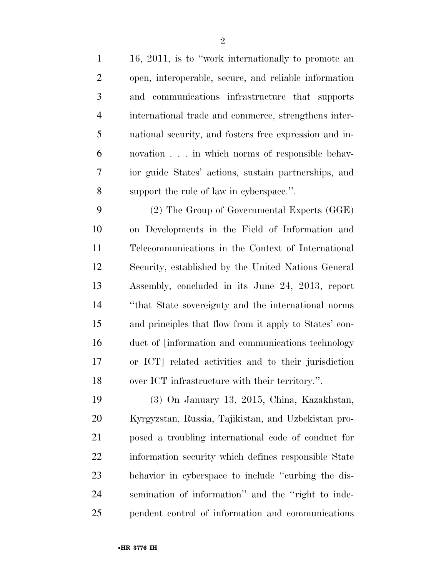16, 2011, is to ''work internationally to promote an open, interoperable, secure, and reliable information and communications infrastructure that supports international trade and commerce, strengthens inter- national security, and fosters free expression and in- novation . . . in which norms of responsible behav- ior guide States' actions, sustain partnerships, and support the rule of law in cyberspace.''.

 (2) The Group of Governmental Experts (GGE) on Developments in the Field of Information and Telecommunications in the Context of International Security, established by the United Nations General Assembly, concluded in its June 24, 2013, report ''that State sovereignty and the international norms and principles that flow from it apply to States' con- duct of [information and communications technology or ICT] related activities and to their jurisdiction over ICT infrastructure with their territory.''.

 (3) On January 13, 2015, China, Kazakhstan, Kyrgyzstan, Russia, Tajikistan, and Uzbekistan pro- posed a troubling international code of conduct for information security which defines responsible State behavior in cyberspace to include ''curbing the dis- semination of information'' and the ''right to inde-pendent control of information and communications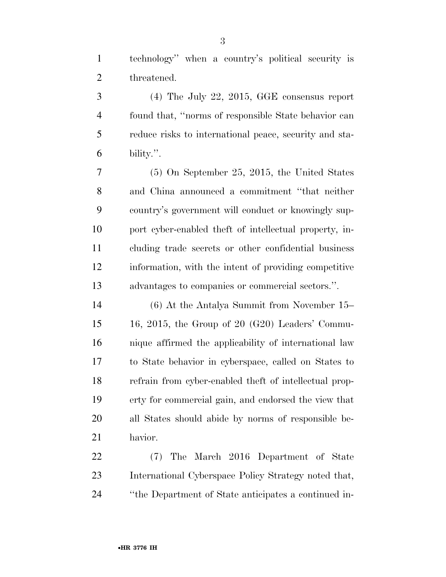technology'' when a country's political security is threatened.

 (4) The July 22, 2015, GGE consensus report found that, ''norms of responsible State behavior can reduce risks to international peace, security and sta-bility.''.

 (5) On September 25, 2015, the United States and China announced a commitment ''that neither country's government will conduct or knowingly sup- port cyber-enabled theft of intellectual property, in- cluding trade secrets or other confidential business information, with the intent of providing competitive advantages to companies or commercial sectors.''.

 (6) At the Antalya Summit from November 15– 16, 2015, the Group of 20 (G20) Leaders' Commu- nique affirmed the applicability of international law to State behavior in cyberspace, called on States to refrain from cyber-enabled theft of intellectual prop- erty for commercial gain, and endorsed the view that all States should abide by norms of responsible be-havior.

 (7) The March 2016 Department of State International Cyberspace Policy Strategy noted that, ''the Department of State anticipates a continued in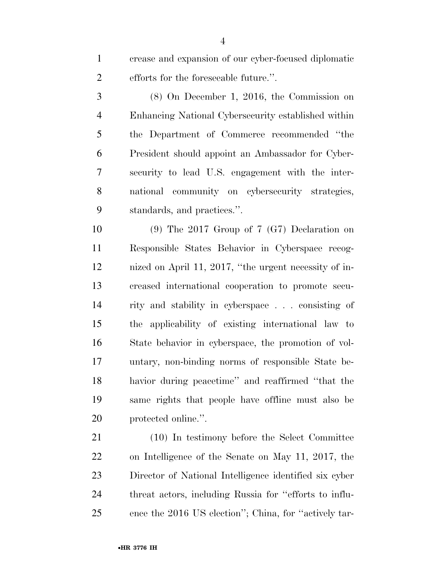crease and expansion of our cyber-focused diplomatic efforts for the foreseeable future.''.

 (8) On December 1, 2016, the Commission on Enhancing National Cybersecurity established within the Department of Commerce recommended ''the President should appoint an Ambassador for Cyber- security to lead U.S. engagement with the inter- national community on cybersecurity strategies, standards, and practices.''.

 (9) The 2017 Group of 7 (G7) Declaration on Responsible States Behavior in Cyberspace recog- nized on April 11, 2017, ''the urgent necessity of in- creased international cooperation to promote secu- rity and stability in cyberspace . . . consisting of the applicability of existing international law to State behavior in cyberspace, the promotion of vol- untary, non-binding norms of responsible State be- havior during peacetime'' and reaffirmed ''that the same rights that people have offline must also be protected online.''.

 (10) In testimony before the Select Committee on Intelligence of the Senate on May 11, 2017, the Director of National Intelligence identified six cyber threat actors, including Russia for ''efforts to influ-ence the 2016 US election''; China, for ''actively tar-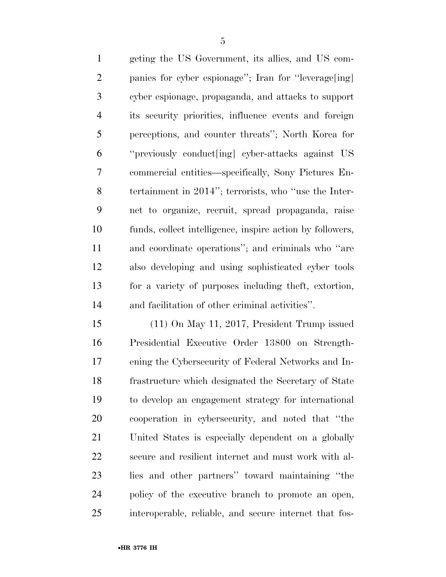geting the US Government, its allies, and US com- panies for cyber espionage''; Iran for ''leverage[ing] cyber espionage, propaganda, and attacks to support its security priorities, influence events and foreign perceptions, and counter threats''; North Korea for ''previously conduct[ing] cyber-attacks against US commercial entities—specifically, Sony Pictures En- tertainment in 2014''; terrorists, who ''use the Inter- net to organize, recruit, spread propaganda, raise funds, collect intelligence, inspire action by followers, and coordinate operations''; and criminals who ''are also developing and using sophisticated cyber tools for a variety of purposes including theft, extortion, and facilitation of other criminal activities''.

 (11) On May 11, 2017, President Trump issued Presidential Executive Order 13800 on Strength- ening the Cybersecurity of Federal Networks and In- frastructure which designated the Secretary of State to develop an engagement strategy for international cooperation in cybersecurity, and noted that ''the United States is especially dependent on a globally secure and resilient internet and must work with al- lies and other partners'' toward maintaining ''the policy of the executive branch to promote an open, interoperable, reliable, and secure internet that fos-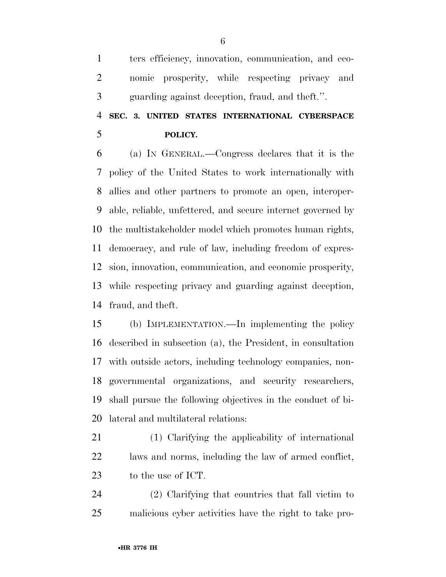ters efficiency, innovation, communication, and eco- nomic prosperity, while respecting privacy and guarding against deception, fraud, and theft.''.

# **SEC. 3. UNITED STATES INTERNATIONAL CYBERSPACE POLICY.**

 (a) IN GENERAL.—Congress declares that it is the policy of the United States to work internationally with allies and other partners to promote an open, interoper- able, reliable, unfettered, and secure internet governed by the multistakeholder model which promotes human rights, democracy, and rule of law, including freedom of expres- sion, innovation, communication, and economic prosperity, while respecting privacy and guarding against deception, fraud, and theft.

 (b) IMPLEMENTATION.—In implementing the policy described in subsection (a), the President, in consultation with outside actors, including technology companies, non- governmental organizations, and security researchers, shall pursue the following objectives in the conduct of bi-lateral and multilateral relations:

 (1) Clarifying the applicability of international laws and norms, including the law of armed conflict, to the use of ICT.

 (2) Clarifying that countries that fall victim to malicious cyber activities have the right to take pro-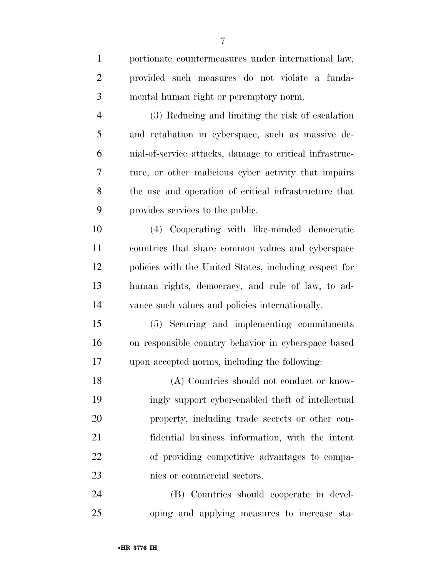| $\mathbf{1}$   | portionate countermeasures under international law,     |
|----------------|---------------------------------------------------------|
| $\overline{2}$ | provided such measures do not violate a funda-          |
| 3              | mental human right or peremptory norm.                  |
| $\overline{4}$ | (3) Reducing and limiting the risk of escalation        |
| 5              | and retaliation in cyberspace, such as massive de-      |
| 6              | mial-of-service attacks, damage to critical infrastruc- |
| 7              | ture, or other malicious cyber activity that impairs    |
| 8              | the use and operation of critical infrastructure that   |
| 9              | provides services to the public.                        |
| 10             | (4) Cooperating with like-minded democratic             |
| 11             | countries that share common values and cyberspace       |
| 12             | policies with the United States, including respect for  |
| 13             | human rights, democracy, and rule of law, to ad-        |
| 14             | vance such values and policies internationally.         |
| 15             | (5) Securing and implementing commitments               |
| 16             | on responsible country behavior in cyberspace based     |
| 17             | upon accepted norms, including the following:           |
| 18             | (A) Countries should not conduct or know-               |
| 19             | ingly support cyber-enabled theft of intellectual       |
| 20             | property, including trade secrets or other con-         |
| 21             | fidential business information, with the intent         |
| 22             | of providing competitive advantages to compa-           |
| 23             | nies or commercial sectors.                             |
| 24             | (B) Countries should cooperate in devel-                |
| 25             | oping and applying measures to increase sta-            |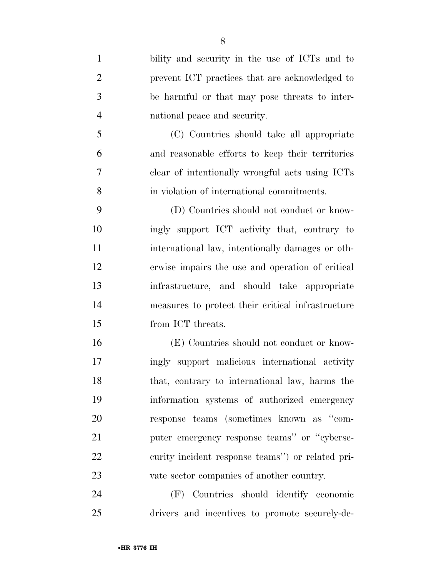bility and security in the use of ICTs and to prevent ICT practices that are acknowledged to be harmful or that may pose threats to inter- national peace and security. (C) Countries should take all appropriate and reasonable efforts to keep their territories clear of intentionally wrongful acts using ICTs in violation of international commitments. (D) Countries should not conduct or know- ingly support ICT activity that, contrary to international law, intentionally damages or oth- erwise impairs the use and operation of critical infrastructure, and should take appropriate measures to protect their critical infrastructure from ICT threats. (E) Countries should not conduct or know- ingly support malicious international activity that, contrary to international law, harms the information systems of authorized emergency response teams (sometimes known as ''com- puter emergency response teams'' or ''cyberse- curity incident response teams'') or related pri-vate sector companies of another country.

 (F) Countries should identify economic drivers and incentives to promote securely-de-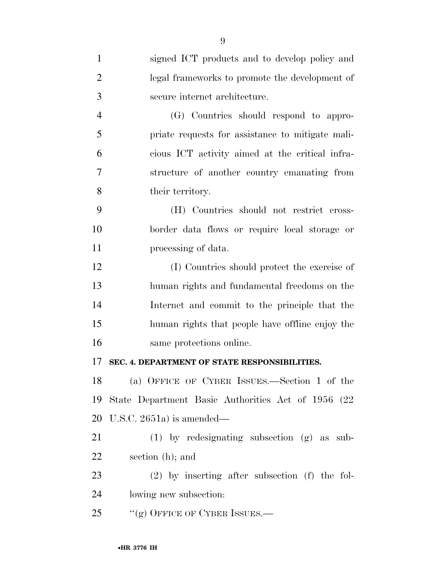| $\mathbf{1}$   | signed ICT products and to develop policy and       |
|----------------|-----------------------------------------------------|
| $\overline{2}$ | legal frameworks to promote the development of      |
| 3              | secure internet architecture.                       |
| $\overline{4}$ | (G) Countries should respond to appro-              |
| 5              | priate requests for assistance to mitigate mali-    |
| 6              | cious ICT activity aimed at the critical infra-     |
| 7              | structure of another country emanating from         |
| 8              | their territory.                                    |
| 9              | (H) Countries should not restrict cross-            |
| 10             | border data flows or require local storage or       |
| 11             | processing of data.                                 |
| 12             | (I) Countries should protect the exercise of        |
| 13             | human rights and fundamental freedoms on the        |
| 14             | Internet and commit to the principle that the       |
| 15             | human rights that people have offline enjoy the     |
| 16             | same protections online.                            |
| 17             | SEC. 4. DEPARTMENT OF STATE RESPONSIBILITIES.       |
| 18             | (a) OFFICE OF CYBER ISSUES.—Section 1 of the        |
| 19             | State Department Basic Authorities Act of 1956 (22) |
| 20             | U.S.C. 2651a) is amended—                           |
| 21             | $(1)$ by redesignating subsection $(g)$ as sub-     |
| 22             | section (h); and                                    |
| 23             | $(2)$ by inserting after subsection (f) the fol-    |
| 24             | lowing new subsection:                              |
| 25             | "(g) OFFICE OF CYBER ISSUES.—                       |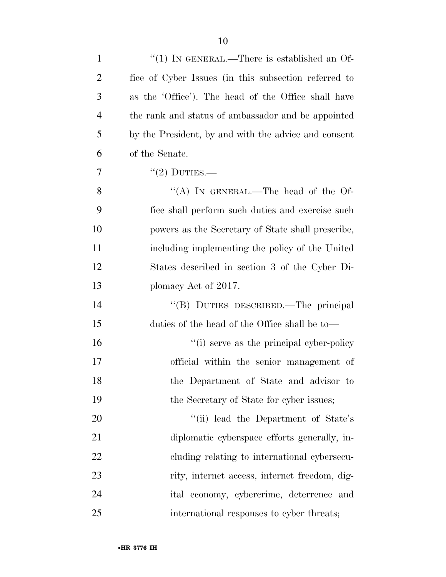| $\mathbf{1}$   | "(1) IN GENERAL.—There is established an Of-         |
|----------------|------------------------------------------------------|
| $\overline{2}$ | fice of Cyber Issues (in this subsection referred to |
| 3              | as the 'Office'). The head of the Office shall have  |
| $\overline{4}$ | the rank and status of ambassador and be appointed   |
| 5              | by the President, by and with the advice and consent |
| 6              | of the Senate.                                       |
| 7              | $"(2)$ DUTIES.—                                      |
| 8              | "(A) IN GENERAL.—The head of the Of-                 |
| 9              | fice shall perform such duties and exercise such     |
| 10             | powers as the Secretary of State shall prescribe,    |
| 11             | including implementing the policy of the United      |
| 12             | States described in section 3 of the Cyber Di-       |
| 13             | plomacy Act of 2017.                                 |
| 14             | "(B) DUTIES DESCRIBED.—The principal                 |
| 15             | duties of the head of the Office shall be to—        |
| 16             | "(i) serve as the principal cyber-policy"            |
| 17             | official within the senior management of             |
| 18             | the Department of State and advisor to               |
| 19             | the Secretary of State for cyber issues;             |
| 20             | "(ii) lead the Department of State's                 |
| 21             | diplomatic cyberspace efforts generally, in-         |
| 22             | eluding relating to international cybersecu-         |
| 23             | rity, internet access, internet freedom, dig-        |
| 24             | ital economy, cybercrime, deterrence and             |
| 25             | international responses to cyber threats;            |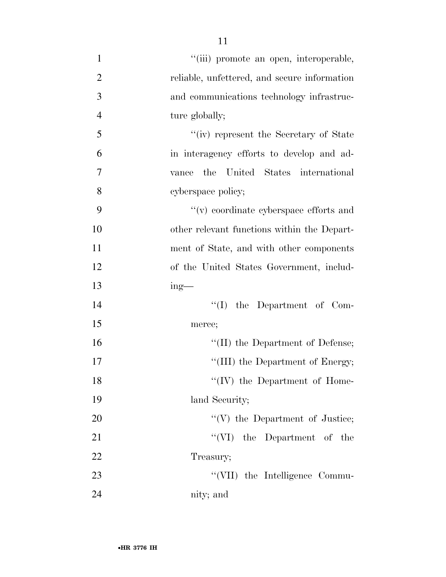''(iii) promote an open, interoperable, reliable, unfettered, and secure information and communications technology infrastruc-4 ture globally; ''(iv) represent the Secretary of State in interagency efforts to develop and ad- vance the United States international cyberspace policy; ''(v) coordinate cyberspace efforts and other relevant functions within the Depart- ment of State, and with other components of the United States Government, includ- ing— 14 ''(I) the Department of Com- merce;  $\text{``(II)}$  the Department of Defense;  $\text{``(III)}$  the Department of Energy; 18 ''(IV) the Department of Home-19 land Security; ''(V) the Department of Justice; 21 ''(VI) the Department of the 22 Treasury; 23 ''(VII) the Intelligence Commu-nity; and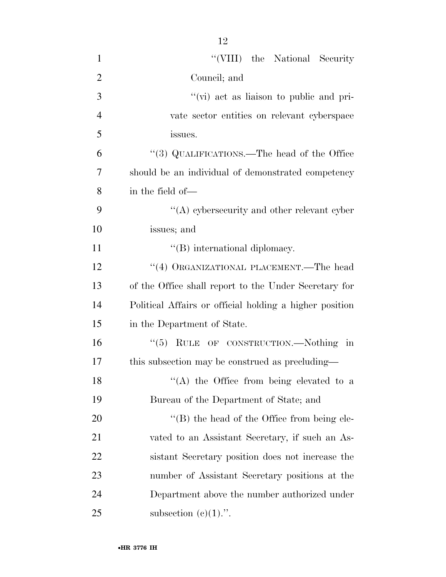1 ''(VIII) the National Security Council; and  $''(\vec{v})$  act as liaison to public and pri- vate sector entities on relevant cyberspace issues. ''(3) QUALIFICATIONS.—The head of the Office should be an individual of demonstrated competency in the field of— 9 ''(A) cybersecurity and other relevant cyber issues; and  $\text{``(B)}$  international diplomacy. 12 ''(4) ORGANIZATIONAL PLACEMENT.—The head of the Office shall report to the Under Secretary for Political Affairs or official holding a higher position in the Department of State. ''(5) RULE OF CONSTRUCTION.—Nothing in this subsection may be construed as precluding—  $\langle (A)$  the Office from being elevated to a Bureau of the Department of State; and 20 "'(B) the head of the Office from being ele- vated to an Assistant Secretary, if such an As- sistant Secretary position does not increase the number of Assistant Secretary positions at the Department above the number authorized under 25 subsection  $(e)(1)$ .".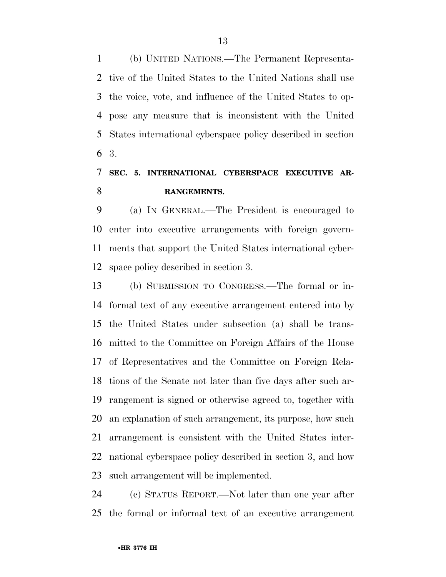(b) UNITED NATIONS.—The Permanent Representa- tive of the United States to the United Nations shall use the voice, vote, and influence of the United States to op- pose any measure that is inconsistent with the United States international cyberspace policy described in section 3.

# **SEC. 5. INTERNATIONAL CYBERSPACE EXECUTIVE AR-RANGEMENTS.**

 (a) IN GENERAL.—The President is encouraged to enter into executive arrangements with foreign govern- ments that support the United States international cyber-space policy described in section 3.

 (b) SUBMISSION TO CONGRESS.—The formal or in- formal text of any executive arrangement entered into by the United States under subsection (a) shall be trans- mitted to the Committee on Foreign Affairs of the House of Representatives and the Committee on Foreign Rela- tions of the Senate not later than five days after such ar- rangement is signed or otherwise agreed to, together with an explanation of such arrangement, its purpose, how such arrangement is consistent with the United States inter- national cyberspace policy described in section 3, and how such arrangement will be implemented.

 (c) STATUS REPORT.—Not later than one year after the formal or informal text of an executive arrangement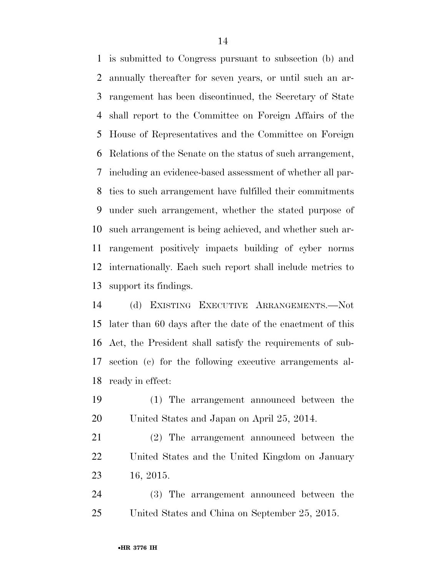is submitted to Congress pursuant to subsection (b) and annually thereafter for seven years, or until such an ar- rangement has been discontinued, the Secretary of State shall report to the Committee on Foreign Affairs of the House of Representatives and the Committee on Foreign Relations of the Senate on the status of such arrangement, including an evidence-based assessment of whether all par- ties to such arrangement have fulfilled their commitments under such arrangement, whether the stated purpose of such arrangement is being achieved, and whether such ar- rangement positively impacts building of cyber norms internationally. Each such report shall include metrics to support its findings.

 (d) EXISTING EXECUTIVE ARRANGEMENTS.—Not later than 60 days after the date of the enactment of this Act, the President shall satisfy the requirements of sub- section (c) for the following executive arrangements al-ready in effect:

- (1) The arrangement announced between the United States and Japan on April 25, 2014.
- (2) The arrangement announced between the United States and the United Kingdom on January 16, 2015.

 (3) The arrangement announced between the United States and China on September 25, 2015.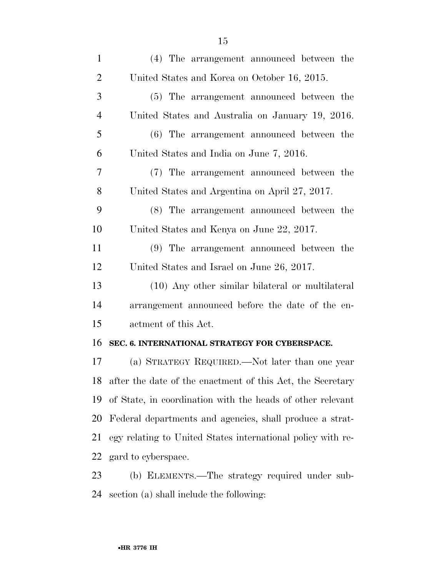| $\mathbf{1}$   | (4) The arrangement announced between the                   |
|----------------|-------------------------------------------------------------|
| $\overline{2}$ | United States and Korea on October 16, 2015.                |
| 3              | (5) The arrangement announced between the                   |
| $\overline{4}$ | United States and Australia on January 19, 2016.            |
| 5              | (6) The arrangement announced between the                   |
| 6              | United States and India on June 7, 2016.                    |
| 7              | (7) The arrangement announced between the                   |
| 8              | United States and Argentina on April 27, 2017.              |
| 9              | (8) The arrangement announced between the                   |
| 10             | United States and Kenya on June 22, 2017.                   |
| 11             | (9) The arrangement announced between the                   |
| 12             | United States and Israel on June 26, 2017.                  |
| 13             | (10) Any other similar bilateral or multilateral            |
| 14             | arrangement announced before the date of the en-            |
| 15             | actment of this Act.                                        |
| 16             | SEC. 6. INTERNATIONAL STRATEGY FOR CYBERSPACE.              |
| 17             | (a) STRATEGY REQUIRED.—Not later than one year              |
| 18             | after the date of the enactment of this Act, the Secretary  |
| 19             | of State, in coordination with the heads of other relevant  |
| 20             | Federal departments and agencies, shall produce a strat-    |
| 21             | egy relating to United States international policy with re- |
| <u>22</u>      | gard to cyberspace.                                         |
| 23             | (b) ELEMENTS.—The strategy required under sub-              |
| 24             | section (a) shall include the following:                    |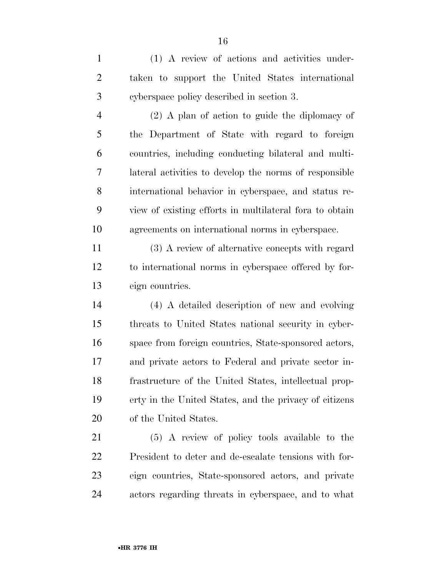(1) A review of actions and activities under- taken to support the United States international cyberspace policy described in section 3.

 (2) A plan of action to guide the diplomacy of the Department of State with regard to foreign countries, including conducting bilateral and multi- lateral activities to develop the norms of responsible international behavior in cyberspace, and status re- view of existing efforts in multilateral fora to obtain agreements on international norms in cyberspace.

 (3) A review of alternative concepts with regard to international norms in cyberspace offered by for-eign countries.

 (4) A detailed description of new and evolving threats to United States national security in cyber- space from foreign countries, State-sponsored actors, and private actors to Federal and private sector in- frastructure of the United States, intellectual prop- erty in the United States, and the privacy of citizens of the United States.

 (5) A review of policy tools available to the President to deter and de-escalate tensions with for- eign countries, State-sponsored actors, and private actors regarding threats in cyberspace, and to what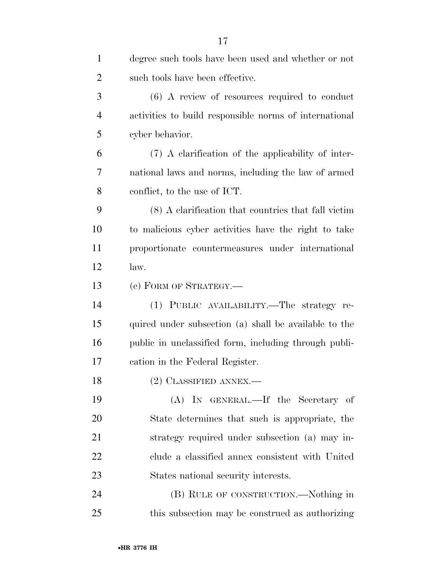| $\mathbf{1}$   | degree such tools have been used and whether or not    |
|----------------|--------------------------------------------------------|
| $\overline{2}$ | such tools have been effective.                        |
| 3              | $(6)$ A review of resources required to conduct        |
| $\overline{4}$ | activities to build responsible norms of international |
| 5              | cyber behavior.                                        |
| 6              | (7) A clarification of the applicability of inter-     |
| 7              | national laws and norms, including the law of armed    |
| 8              | conflict, to the use of ICT.                           |
| 9              | (8) A elarification that countries that fall victim    |
| 10             | to malicious cyber activities have the right to take   |
| 11             | proportionate countermeasures under international      |
| 12             | law.                                                   |
| 13             | (c) FORM OF STRATEGY.—                                 |
| 14             | (1) PUBLIC AVAILABILITY.—The strategy re-              |
| 15             | quired under subsection (a) shall be available to the  |
| 16             | public in unclassified form, including through publi-  |
| 17             | cation in the Federal Register.                        |
| 18             | (2) CLASSIFIED ANNEX.-                                 |
| 19             | (A) IN GENERAL.—If the Secretary of                    |
| 20             | State determines that such is appropriate, the         |
| 21             | strategy required under subsection (a) may in-         |
| 22             | clude a classified annex consistent with United        |
| 23             | States national security interests.                    |
| 24             | (B) RULE OF CONSTRUCTION.—Nothing in                   |
| 25             | this subsection may be construed as authorizing        |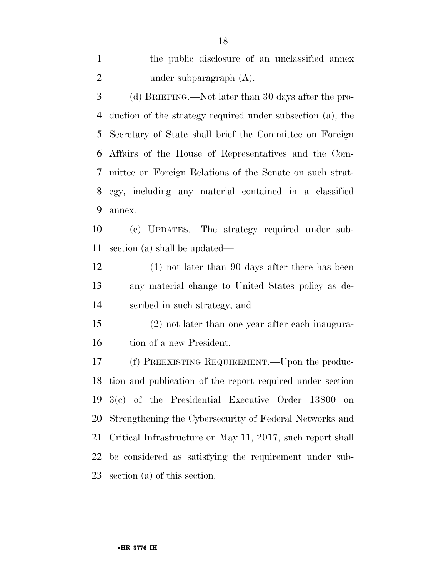section (a) of this section.

### •**HR 3776 IH**

the public disclosure of an unclassified annex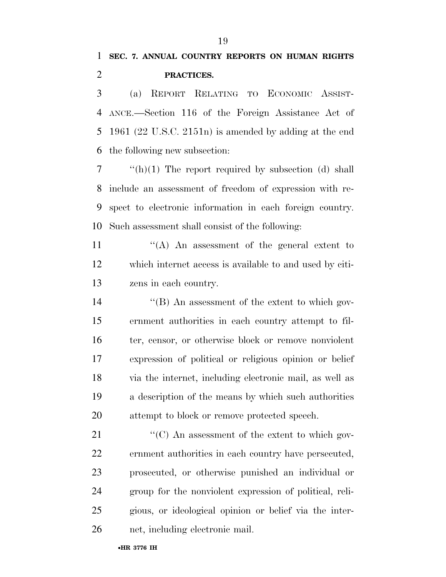(a) REPORT RELATING TO ECONOMIC ASSIST- ANCE.—Section 116 of the Foreign Assistance Act of 1961 (22 U.S.C. 2151n) is amended by adding at the end the following new subsection:

 "(h)(1) The report required by subsection (d) shall include an assessment of freedom of expression with re- spect to electronic information in each foreign country. Such assessment shall consist of the following:

11  $\langle A \rangle$  An assessment of the general extent to which internet access is available to and used by citi-zens in each country.

 ''(B) An assessment of the extent to which gov- ernment authorities in each country attempt to fil- ter, censor, or otherwise block or remove nonviolent expression of political or religious opinion or belief via the internet, including electronic mail, as well as a description of the means by which such authorities attempt to block or remove protected speech.

 $\langle ^{\prime}(C) \rangle$  An assessment of the extent to which gov- ernment authorities in each country have persecuted, prosecuted, or otherwise punished an individual or group for the nonviolent expression of political, reli- gious, or ideological opinion or belief via the inter-net, including electronic mail.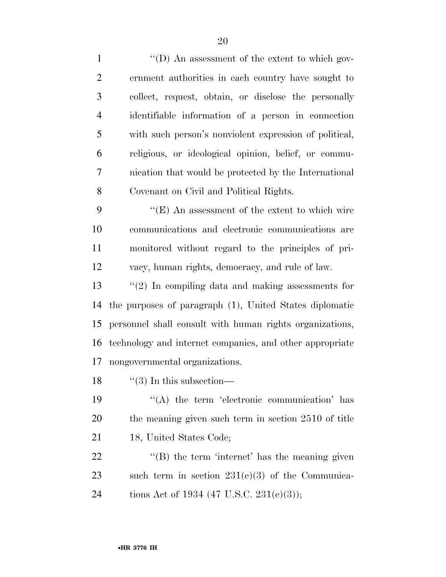$\langle (D)$  An assessment of the extent to which gov- ernment authorities in each country have sought to collect, request, obtain, or disclose the personally identifiable information of a person in connection with such person's nonviolent expression of political, religious, or ideological opinion, belief, or commu- nication that would be protected by the International Covenant on Civil and Political Rights. 9 ''(E) An assessment of the extent to which wire communications and electronic communications are monitored without regard to the principles of pri- vacy, human rights, democracy, and rule of law. ''(2) In compiling data and making assessments for the purposes of paragraph (1), United States diplomatic personnel shall consult with human rights organizations, technology and internet companies, and other appropriate nongovernmental organizations.  $\frac{1}{3}$  In this subsection—  $\langle \rangle$  (A) the term 'electronic communication' has the meaning given such term in section 2510 of title 21 18, United States Code; 22 "(B) the term 'internet' has the meaning given such term in section 231(e)(3) of the Communica-24 tions Act of 1934 (47 U.S.C. 231(e)(3));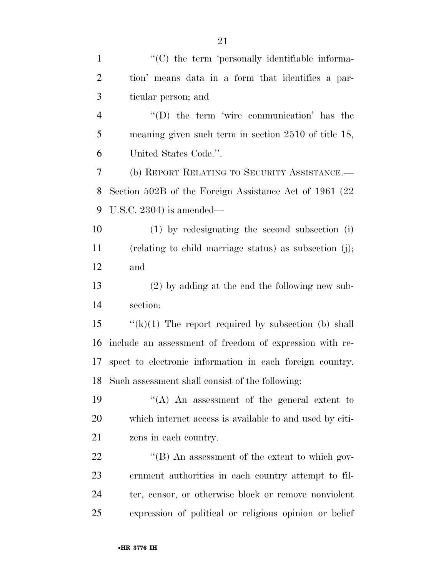| $\mathbf{1}$   | "(C) the term 'personally identifiable informa-          |
|----------------|----------------------------------------------------------|
| $\overline{2}$ | tion' means data in a form that identifies a par-        |
| 3              | ticular person; and                                      |
| $\overline{4}$ | $\lq\lq$ the term 'wire communication' has the           |
| 5              | meaning given such term in section $2510$ of title 18,   |
| 6              | United States Code.".                                    |
| 7              | (b) REPORT RELATING TO SECURITY ASSISTANCE.—             |
| 8              | Section 502B of the Foreign Assistance Act of 1961 (22)  |
| 9              | U.S.C. $2304$ ) is amended—                              |
| 10             | (1) by redesignating the second subsection (i)           |
| 11             | (relating to child marriage status) as subsection (j);   |
| 12             | and                                                      |
| 13             | $(2)$ by adding at the end the following new sub-        |
| 14             | section:                                                 |
| 15             | " $(k)(1)$ The report required by subsection (b) shall   |
| 16             | include an assessment of freedom of expression with re-  |
| 17             | spect to electronic information in each foreign country. |
| 18             | Such assessment shall consist of the following:          |
| 19             | "(A) An assessment of the general extent to              |
| 20             | which internet access is available to and used by citi-  |
| 21             | zens in each country.                                    |
| 22             | $\lq\lq$ (B) An assessment of the extent to which gov-   |
| 23             | ernment authorities in each country attempt to fil-      |
| 24             | ter, censor, or otherwise block or remove nonviolent     |
| 25             | expression of political or religious opinion or belief   |
|                |                                                          |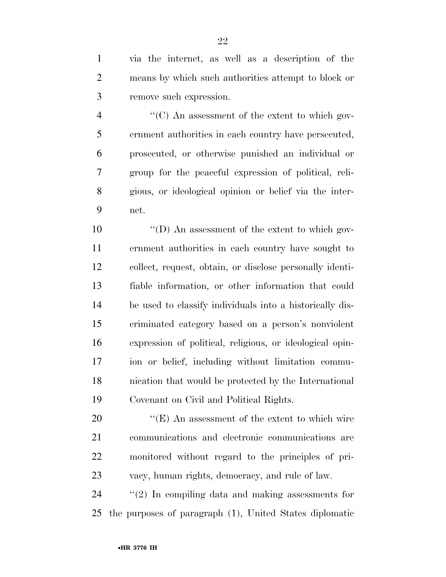via the internet, as well as a description of the means by which such authorities attempt to block or remove such expression.

 ''(C) An assessment of the extent to which gov- ernment authorities in each country have persecuted, prosecuted, or otherwise punished an individual or group for the peaceful expression of political, reli- gious, or ideological opinion or belief via the inter-net.

 $\langle \text{`}(D) \rangle$  An assessment of the extent to which gov- ernment authorities in each country have sought to collect, request, obtain, or disclose personally identi- fiable information, or other information that could be used to classify individuals into a historically dis- criminated category based on a person's nonviolent expression of political, religious, or ideological opin- ion or belief, including without limitation commu- nication that would be protected by the International Covenant on Civil and Political Rights.

 $\langle$  (E) An assessment of the extent to which wire communications and electronic communications are monitored without regard to the principles of pri-vacy, human rights, democracy, and rule of law.

 ''(2) In compiling data and making assessments for the purposes of paragraph (1), United States diplomatic